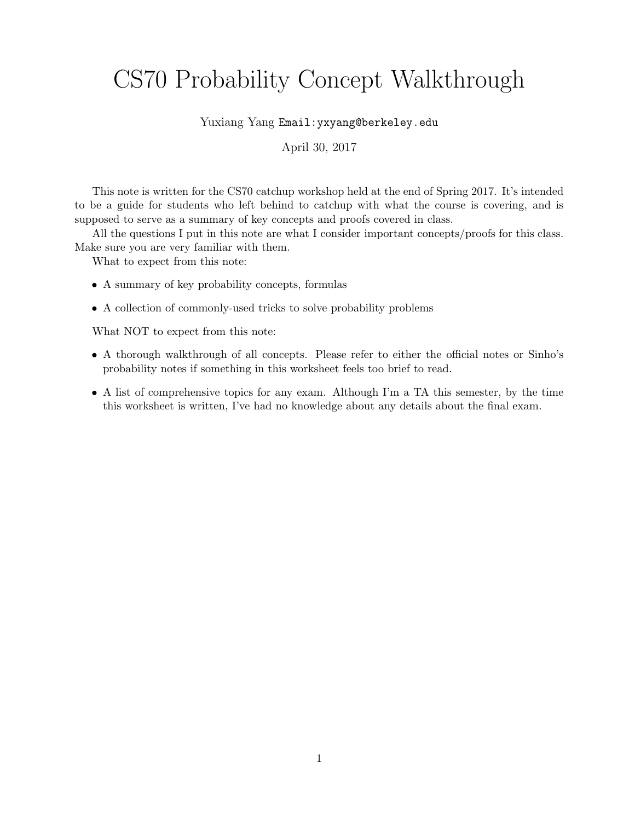# CS70 Probability Concept Walkthrough

Yuxiang Yang Email:yxyang@berkeley.edu

April 30, 2017

This note is written for the CS70 catchup workshop held at the end of Spring 2017. It's intended to be a guide for students who left behind to catchup with what the course is covering, and is supposed to serve as a summary of key concepts and proofs covered in class.

All the questions I put in this note are what I consider important concepts/proofs for this class. Make sure you are very familiar with them.

What to expect from this note:

- A summary of key probability concepts, formulas
- A collection of commonly-used tricks to solve probability problems

What NOT to expect from this note:

- A thorough walkthrough of all concepts. Please refer to either the official notes or Sinho's probability notes if something in this worksheet feels too brief to read.
- A list of comprehensive topics for any exam. Although I'm a TA this semester, by the time this worksheet is written, I've had no knowledge about any details about the final exam.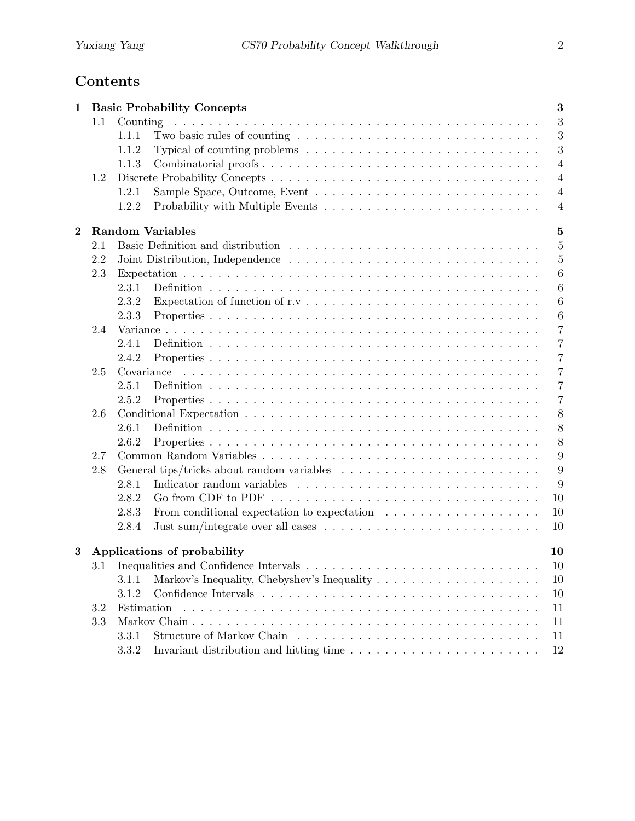# Contents

| $\mathbf{1}$ |     | <b>Basic Probability Concepts</b>                                                                                   | 3              |
|--------------|-----|---------------------------------------------------------------------------------------------------------------------|----------------|
|              | 1.1 | Counting<br>a de la caractería de la caractería de la caractería de la caractería de la caractería de la caractería | 3              |
|              |     | Two basic rules of counting $\ldots \ldots \ldots \ldots \ldots \ldots \ldots \ldots \ldots$<br>1.1.1               | 3              |
|              |     | Typical of counting problems $\dots \dots \dots \dots \dots \dots \dots \dots \dots \dots$<br>1.1.2                 | 3              |
|              |     | 1.1.3                                                                                                               | $\overline{4}$ |
|              | 1.2 |                                                                                                                     | $\overline{4}$ |
|              |     | 1.2.1                                                                                                               | $\overline{4}$ |
|              |     | Probability with Multiple Events $\dots \dots \dots \dots \dots \dots \dots \dots \dots \dots$<br>1.2.2             | $\overline{4}$ |
| $\bf{2}$     |     | <b>Random Variables</b>                                                                                             | 5              |
|              | 2.1 |                                                                                                                     | $\overline{5}$ |
|              | 2.2 |                                                                                                                     | $\overline{5}$ |
|              | 2.3 |                                                                                                                     | $\overline{6}$ |
|              |     | 2.3.1                                                                                                               | 6              |
|              |     | 2.3.2                                                                                                               | $\overline{6}$ |
|              |     | 2.3.3                                                                                                               | 6              |
|              | 2.4 |                                                                                                                     | $\overline{7}$ |
|              |     | 2.4.1                                                                                                               | $\overline{7}$ |
|              |     | 2.4.2                                                                                                               | $\overline{7}$ |
|              | 2.5 | Covariance                                                                                                          | 7              |
|              |     | 2.5.1                                                                                                               | $\overline{7}$ |
|              |     | 2.5.2                                                                                                               | $\overline{7}$ |
|              | 2.6 |                                                                                                                     | 8              |
|              |     | 2.6.1                                                                                                               | 8              |
|              |     | 2.6.2                                                                                                               | 8              |
|              | 2.7 |                                                                                                                     | 9              |
|              | 2.8 |                                                                                                                     | 9              |
|              |     | 2.8.1                                                                                                               | 9              |
|              |     | 2.8.2                                                                                                               | 10             |
|              |     | 2.8.3                                                                                                               | 10             |
|              |     | 2.8.4                                                                                                               | 10             |
| 3            |     | Applications of probability<br>10                                                                                   |                |
|              |     | 10                                                                                                                  |                |
|              |     | 3.1.1                                                                                                               | 10             |
|              |     | 3.1.2                                                                                                               | 10             |
|              | 3.2 | Estimation                                                                                                          | 11             |
|              | 3.3 |                                                                                                                     | 11             |
|              |     | 3.3.1                                                                                                               | 11             |
|              |     | 3.3.2                                                                                                               | 12             |
|              |     |                                                                                                                     |                |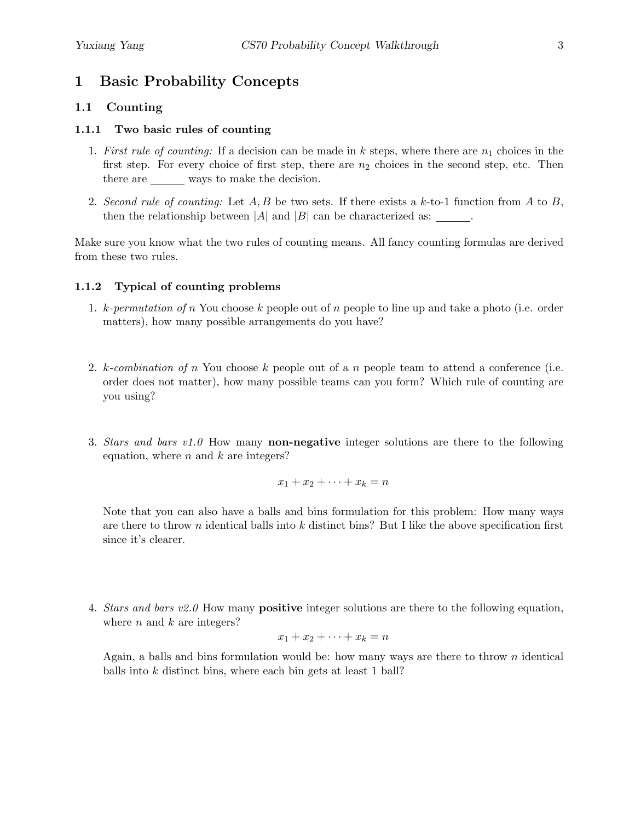# 1 Basic Probability Concepts

### 1.1 Counting

#### 1.1.1 Two basic rules of counting

- 1. First rule of counting: If a decision can be made in  $k$  steps, where there are  $n_1$  choices in the first step. For every choice of first step, there are  $n_2$  choices in the second step, etc. Then there are ways to make the decision.
- 2. Second rule of counting: Let  $A, B$  be two sets. If there exists a k-to-1 function from A to B, then the relationship between  $|A|$  and  $|B|$  can be characterized as: \_\_\_\_\_\_.

Make sure you know what the two rules of counting means. All fancy counting formulas are derived from these two rules.

#### 1.1.2 Typical of counting problems

- 1.  $k$ -permutation of n You choose k people out of n people to line up and take a photo (i.e. order matters), how many possible arrangements do you have?
- 2. k-combination of n You choose k people out of a n people team to attend a conference (i.e. order does not matter), how many possible teams can you form? Which rule of counting are you using?
- 3. Stars and bars  $v1.0$  How many **non-negative** integer solutions are there to the following equation, where  $n$  and  $k$  are integers?

$$
x_1 + x_2 + \cdots + x_k = n
$$

Note that you can also have a balls and bins formulation for this problem: How many ways are there to throw n identical balls into  $k$  distinct bins? But I like the above specification first since it's clearer.

4. Stars and bars  $v2.0$  How many **positive** integer solutions are there to the following equation, where  $n$  and  $k$  are integers?

$$
x_1 + x_2 + \dots + x_k = n
$$

Again, a balls and bins formulation would be: how many ways are there to throw n identical balls into k distinct bins, where each bin gets at least 1 ball?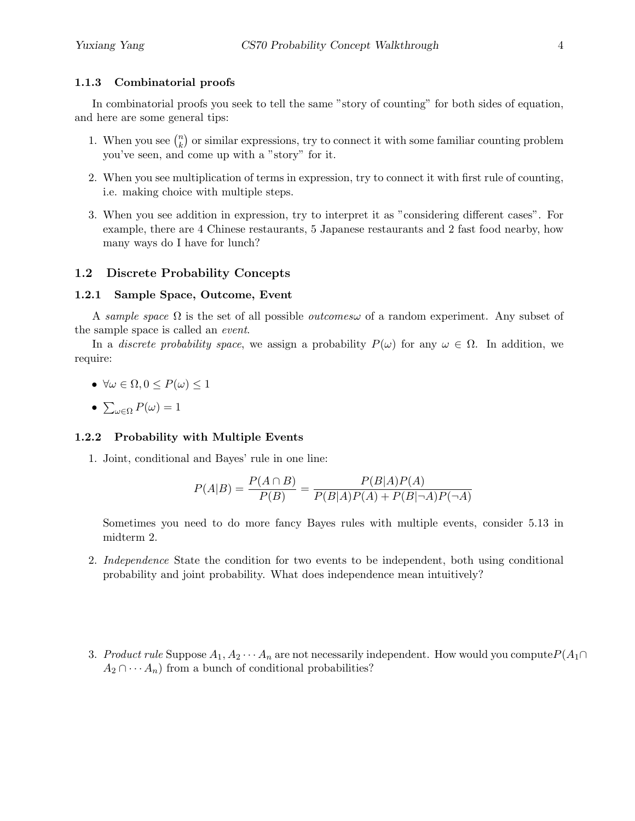#### 1.1.3 Combinatorial proofs

In combinatorial proofs you seek to tell the same "story of counting" for both sides of equation, and here are some general tips:

- 1. When you see  $\binom{n}{k}$  $\binom{n}{k}$  or similar expressions, try to connect it with some familiar counting problem you've seen, and come up with a "story" for it.
- 2. When you see multiplication of terms in expression, try to connect it with first rule of counting, i.e. making choice with multiple steps.
- 3. When you see addition in expression, try to interpret it as "considering different cases". For example, there are 4 Chinese restaurants, 5 Japanese restaurants and 2 fast food nearby, how many ways do I have for lunch?

#### 1.2 Discrete Probability Concepts

#### 1.2.1 Sample Space, Outcome, Event

A sample space  $\Omega$  is the set of all possible *outcomesw* of a random experiment. Any subset of the sample space is called an event.

In a discrete probability space, we assign a probability  $P(\omega)$  for any  $\omega \in \Omega$ . In addition, we require:

- $\forall \omega \in \Omega, 0 \leq P(\omega) \leq 1$
- $\bullet\ \sum_{\omega \in \Omega} P(\omega) = 1$

#### 1.2.2 Probability with Multiple Events

1. Joint, conditional and Bayes' rule in one line:

$$
P(A|B) = \frac{P(A \cap B)}{P(B)} = \frac{P(B|A)P(A)}{P(B|A)P(A) + P(B|\neg A)P(\neg A)}
$$

Sometimes you need to do more fancy Bayes rules with multiple events, consider 5.13 in midterm 2.

- 2. Independence State the condition for two events to be independent, both using conditional probability and joint probability. What does independence mean intuitively?
- 3. Product rule Suppose  $A_1, A_2 \cdots A_n$  are not necessarily independent. How would you compute  $P(A_1 \cap$  $A_2 \cap \cdots A_n$  from a bunch of conditional probabilities?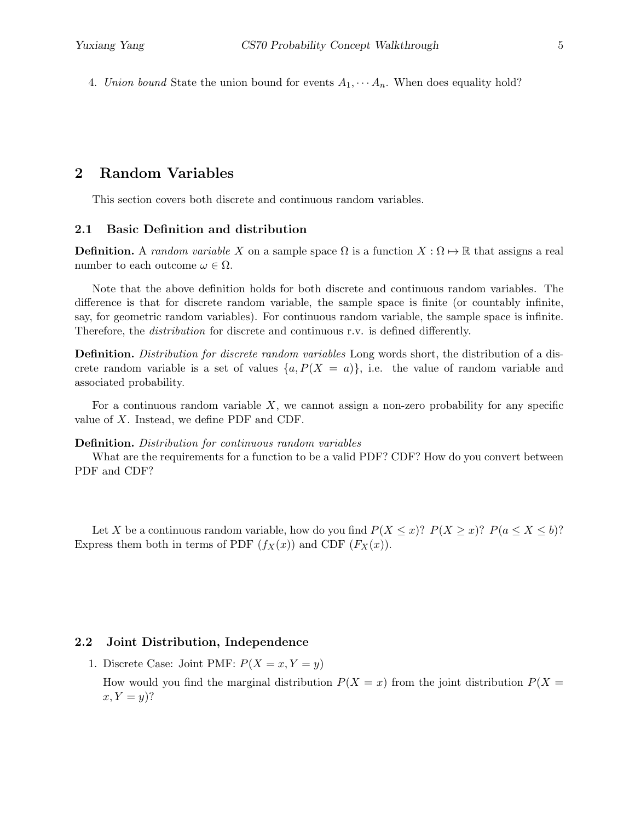4. Union bound State the union bound for events  $A_1, \cdots, A_n$ . When does equality hold?

## 2 Random Variables

This section covers both discrete and continuous random variables.

#### 2.1 Basic Definition and distribution

**Definition.** A random variable X on a sample space  $\Omega$  is a function  $X : \Omega \mapsto \mathbb{R}$  that assigns a real number to each outcome  $\omega \in \Omega$ .

Note that the above definition holds for both discrete and continuous random variables. The difference is that for discrete random variable, the sample space is finite (or countably infinite, say, for geometric random variables). For continuous random variable, the sample space is infinite. Therefore, the distribution for discrete and continuous r.v. is defined differently.

Definition. Distribution for discrete random variables Long words short, the distribution of a discrete random variable is a set of values  $\{a, P(X = a)\}\$ , i.e. the value of random variable and associated probability.

For a continuous random variable  $X$ , we cannot assign a non-zero probability for any specific value of  $X$ . Instead, we define PDF and CDF.

#### Definition. Distribution for continuous random variables

What are the requirements for a function to be a valid PDF? CDF? How do you convert between PDF and CDF?

Let X be a continuous random variable, how do you find  $P(X \leq x)$ ?  $P(X \geq x)$ ?  $P(a \leq X \leq b)$ ? Express them both in terms of PDF  $(f_X(x))$  and CDF  $(F_X(x))$ .

#### 2.2 Joint Distribution, Independence

1. Discrete Case: Joint PMF:  $P(X = x, Y = y)$ 

How would you find the marginal distribution  $P(X = x)$  from the joint distribution  $P(X = x)$  $x, Y = y$ ?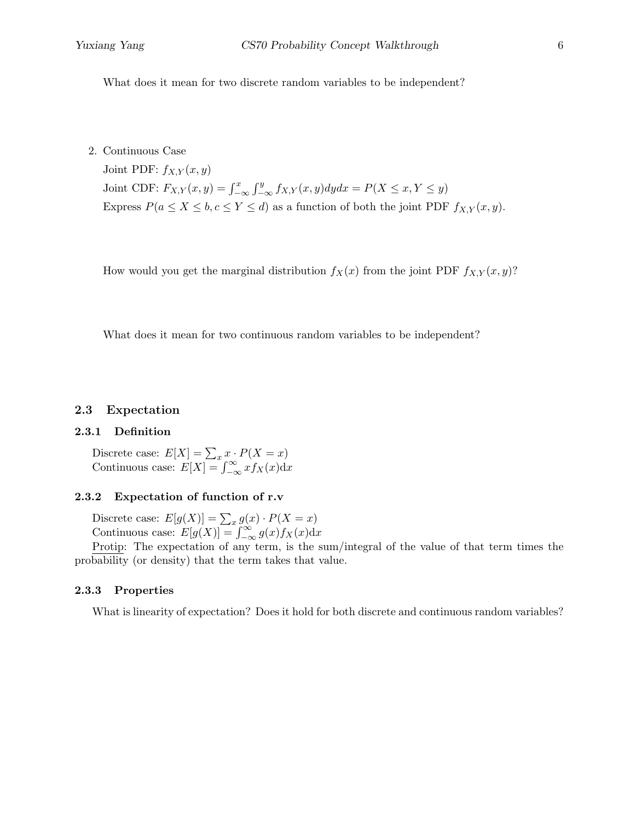What does it mean for two discrete random variables to be independent?

2. Continuous Case

Joint PDF:  $f_{X,Y}(x, y)$ Joint CDF:  $F_{X,Y}(x,y) = \int_{-\infty}^x \int_{-\infty}^y f_{X,Y}(x,y) dy dx = P(X \le x, Y \le y)$ Express  $P(a \le X \le b, c \le Y \le d)$  as a function of both the joint PDF  $f_{X,Y}(x, y)$ .

How would you get the marginal distribution  $f_X(x)$  from the joint PDF  $f_{X,Y}(x, y)$ ?

What does it mean for two continuous random variables to be independent?

#### 2.3 Expectation

#### 2.3.1 Definition

Discrete case:  $E[X] = \sum_{x} x \cdot P(X = x)$ Continuous case:  $E[X] = \int_{-\infty}^{\infty} x f_X(x) dx$ 

#### 2.3.2 Expectation of function of r.v

Discrete case:  $E[g(X)] = \sum_{x} g(x) \cdot P(X = x)$ Continuous case:  $E[g(X)] = \int_{-\infty}^{\infty} g(x) f_X(x) dx$ 

Protip: The expectation of any term, is the sum/integral of the value of that term times the probability (or density) that the term takes that value.

#### 2.3.3 Properties

What is linearity of expectation? Does it hold for both discrete and continuous random variables?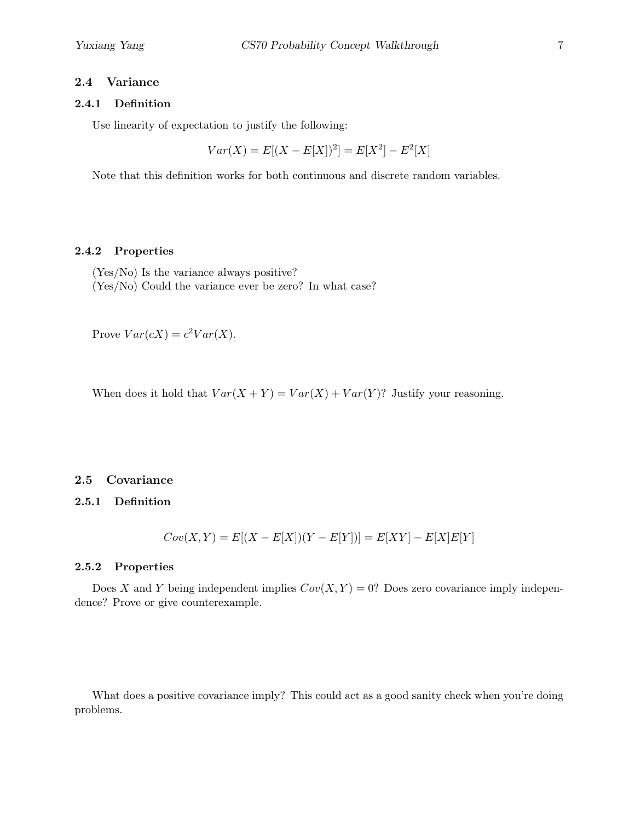#### 2.4 Variance

#### 2.4.1 Definition

Use linearity of expectation to justify the following:

 $Var(X) = E[(X - E[X])^{2}] = E[X^{2}] - E^{2}[X]$ 

Note that this definition works for both continuous and discrete random variables.

#### 2.4.2 Properties

(Yes/No) Is the variance always positive? (Yes/No) Could the variance ever be zero? In what case?

Prove  $Var(cX) = c^2Var(X)$ .

When does it hold that  $Var(X + Y) = Var(X) + Var(Y)$ ? Justify your reasoning.

#### 2.5 Covariance

#### 2.5.1 Definition

$$
Cov(X, Y) = E[(X - E[X])(Y - E[Y])] = E[XY] - E[X]E[Y]
$$

#### 2.5.2 Properties

Does X and Y being independent implies  $Cov(X, Y) = 0$ ? Does zero covariance imply independence? Prove or give counterexample.

What does a positive covariance imply? This could act as a good sanity check when you're doing problems.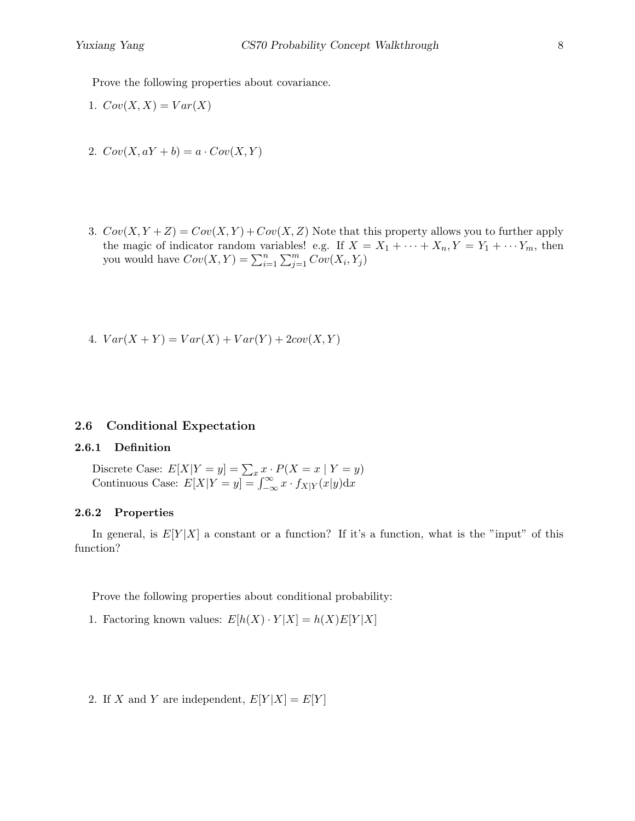Prove the following properties about covariance.

- 1.  $Cov(X, X) = Var(X)$
- 2.  $Cov(X, aY + b) = a \cdot Cov(X, Y)$
- 3.  $Cov(X, Y + Z) = Cov(X, Y) + Cov(X, Z)$  Note that this property allows you to further apply the magic of indicator random variables! e.g. If  $X = X_1 + \cdots + X_n, Y = Y_1 + \cdots + Y_m$ , then you would have  $Cov(X,Y) = \sum_{i=1}^{n} \sum_{j=1}^{m} Cov(X_i, Y_j)$
- 4.  $Var(X + Y) = Var(X) + Var(Y) + 2cov(X, Y)$

#### 2.6 Conditional Expectation

#### 2.6.1 Definition

Discrete Case:  $E[X|Y=y] = \sum_x x \cdot P(X=x | Y=y)$ Continuous Case:  $E[X|Y=y] = \int_{-\infty}^{\infty} x \cdot f_{X|Y}(x|y) dx$ 

#### 2.6.2 Properties

In general, is  $E[Y|X]$  a constant or a function? If it's a function, what is the "input" of this function?

Prove the following properties about conditional probability:

- 1. Factoring known values:  $E[h(X) \cdot Y|X] = h(X)E[Y|X]$
- 2. If X and Y are independent,  $E[Y|X] = E[Y]$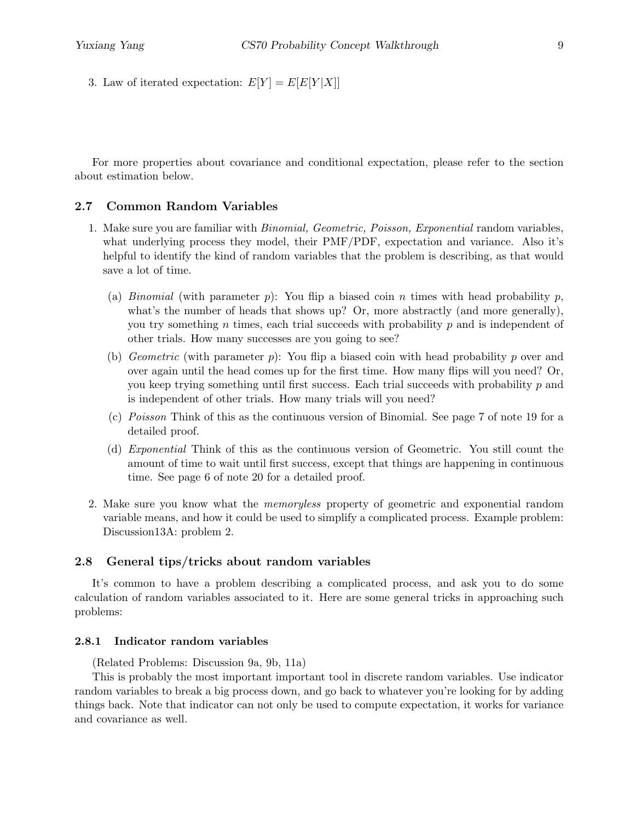3. Law of iterated expectation:  $E[Y] = E[E[Y|X]]$ 

For more properties about covariance and conditional expectation, please refer to the section about estimation below.

#### 2.7 Common Random Variables

- 1. Make sure you are familiar with *Binomial, Geometric, Poisson, Exponential* random variables, what underlying process they model, their PMF/PDF, expectation and variance. Also it's helpful to identify the kind of random variables that the problem is describing, as that would save a lot of time.
	- (a) Binomial (with parameter p): You flip a biased coin n times with head probability p, what's the number of heads that shows up? Or, more abstractly (and more generally), you try something  $n$  times, each trial succeeds with probability  $p$  and is independent of other trials. How many successes are you going to see?
	- (b) *Geometric* (with parameter  $p$ ): You flip a biased coin with head probability p over and over again until the head comes up for the first time. How many flips will you need? Or, you keep trying something until first success. Each trial succeeds with probability p and is independent of other trials. How many trials will you need?
	- (c) Poisson Think of this as the continuous version of Binomial. See page 7 of note 19 for a detailed proof.
	- (d) Exponential Think of this as the continuous version of Geometric. You still count the amount of time to wait until first success, except that things are happening in continuous time. See page 6 of note 20 for a detailed proof.
- 2. Make sure you know what the memoryless property of geometric and exponential random variable means, and how it could be used to simplify a complicated process. Example problem: Discussion13A: problem 2.

#### 2.8 General tips/tricks about random variables

It's common to have a problem describing a complicated process, and ask you to do some calculation of random variables associated to it. Here are some general tricks in approaching such problems:

#### 2.8.1 Indicator random variables

(Related Problems: Discussion 9a, 9b, 11a)

This is probably the most important important tool in discrete random variables. Use indicator random variables to break a big process down, and go back to whatever you're looking for by adding things back. Note that indicator can not only be used to compute expectation, it works for variance and covariance as well.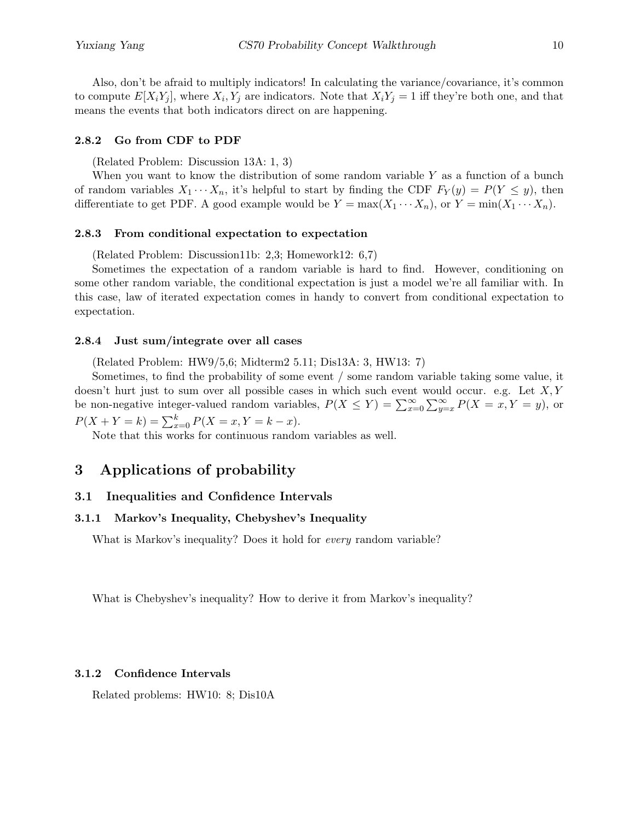Also, don't be afraid to multiply indicators! In calculating the variance/covariance, it's common to compute  $E[X_i Y_j]$ , where  $X_i, Y_j$  are indicators. Note that  $X_i Y_j = 1$  iff they're both one, and that means the events that both indicators direct on are happening.

#### 2.8.2 Go from CDF to PDF

(Related Problem: Discussion 13A: 1, 3)

When you want to know the distribution of some random variable  $Y$  as a function of a bunch of random variables  $X_1 \cdots X_n$ , it's helpful to start by finding the CDF  $F_Y(y) = P(Y \le y)$ , then differentiate to get PDF. A good example would be  $Y = \max(X_1 \cdots X_n)$ , or  $Y = \min(X_1 \cdots X_n)$ .

#### 2.8.3 From conditional expectation to expectation

(Related Problem: Discussion11b: 2,3; Homework12: 6,7)

Sometimes the expectation of a random variable is hard to find. However, conditioning on some other random variable, the conditional expectation is just a model we're all familiar with. In this case, law of iterated expectation comes in handy to convert from conditional expectation to expectation.

#### 2.8.4 Just sum/integrate over all cases

(Related Problem: HW9/5,6; Midterm2 5.11; Dis13A: 3, HW13: 7)

Sometimes, to find the probability of some event / some random variable taking some value, it doesn't hurt just to sum over all possible cases in which such event would occur. e.g. Let  $X, Y$ be non-negative integer-valued random variables,  $P(X \le Y) = \sum_{x=0}^{\infty} \sum_{y=x}^{\infty} P(X = x, Y = y)$ , or  $P(X + Y = k) = \sum_{x=0}^{k} P(X = x, Y = k - x).$ 

Note that this works for continuous random variables as well.

# 3 Applications of probability

#### 3.1 Inequalities and Confidence Intervals

#### 3.1.1 Markov's Inequality, Chebyshev's Inequality

What is Markov's inequality? Does it hold for *every* random variable?

What is Chebyshev's inequality? How to derive it from Markov's inequality?

#### 3.1.2 Confidence Intervals

Related problems: HW10: 8; Dis10A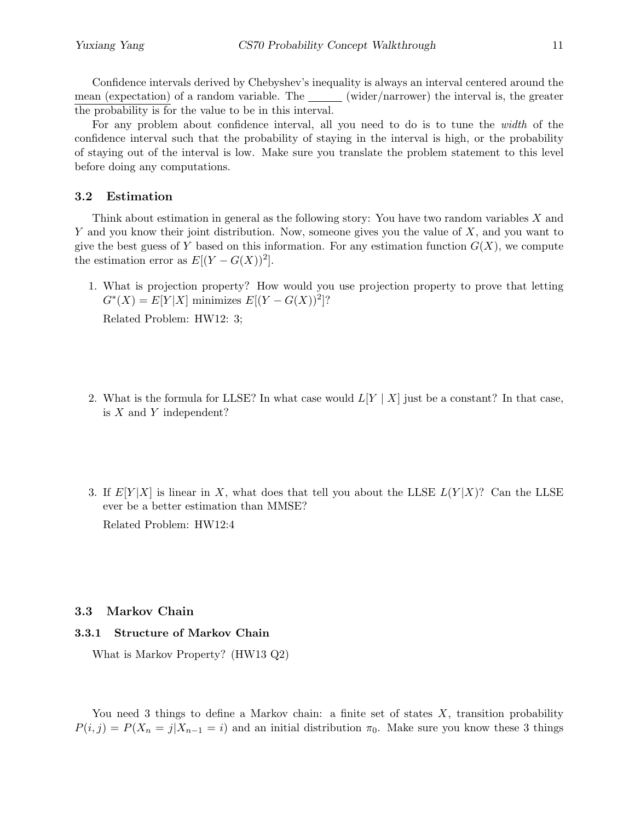Confidence intervals derived by Chebyshev's inequality is always an interval centered around the mean (expectation) of a random variable. The <u>sector</u> (wider/narrower) the interval is, the greater the probability is for the value to be in this interval.

For any problem about confidence interval, all you need to do is to tune the width of the confidence interval such that the probability of staying in the interval is high, or the probability of staying out of the interval is low. Make sure you translate the problem statement to this level before doing any computations.

#### 3.2 Estimation

Think about estimation in general as the following story: You have two random variables X and Y and you know their joint distribution. Now, someone gives you the value of  $X$ , and you want to give the best guess of Y based on this information. For any estimation function  $G(X)$ , we compute the estimation error as  $E[(Y - G(X))^2]$ .

1. What is projection property? How would you use projection property to prove that letting  $G^*(X) = E[Y|X]$  minimizes  $E[(Y - G(X))^2]$ ?

Related Problem: HW12: 3;

- 2. What is the formula for LLSE? In what case would  $L[Y | X]$  just be a constant? In that case, is  $X$  and  $Y$  independent?
- 3. If  $E[Y|X]$  is linear in X, what does that tell you about the LLSE  $L(Y|X)$ ? Can the LLSE ever be a better estimation than MMSE? Related Problem: HW12:4

#### 3.3 Markov Chain

#### 3.3.1 Structure of Markov Chain

What is Markov Property? (HW13 Q2)

You need 3 things to define a Markov chain: a finite set of states  $X$ , transition probability  $P(i, j) = P(X_n = j | X_{n-1} = i)$  and an initial distribution  $\pi_0$ . Make sure you know these 3 things